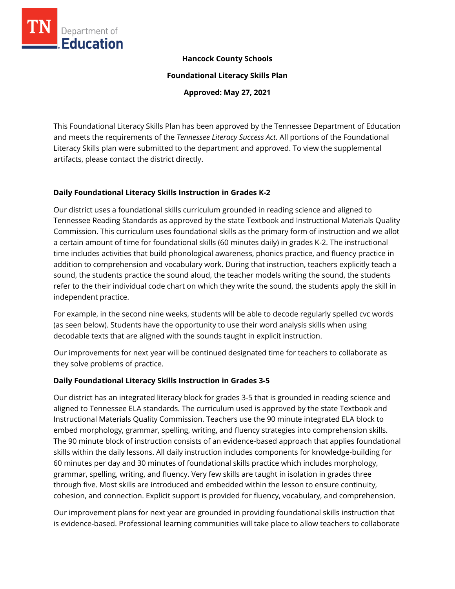

## **Hancock County Schools**

**Foundational Literacy Skills Plan**

**Approved: May 27, 2021**

This Foundational Literacy Skills Plan has been approved by the Tennessee Department of Education and meets the requirements of the *Tennessee Literacy Success Act.* All portions of the Foundational Literacy Skills plan were submitted to the department and approved. To view the supplemental artifacts, please contact the district directly.

## **Daily Foundational Literacy Skills Instruction in Grades K-2**

Our district uses a foundational skills curriculum grounded in reading science and aligned to Tennessee Reading Standards as approved by the state Textbook and Instructional Materials Quality Commission. This curriculum uses foundational skills as the primary form of instruction and we allot a certain amount of time for foundational skills (60 minutes daily) in grades K-2. The instructional time includes activities that build phonological awareness, phonics practice, and fluency practice in addition to comprehension and vocabulary work. During that instruction, teachers explicitly teach a sound, the students practice the sound aloud, the teacher models writing the sound, the students refer to the their individual code chart on which they write the sound, the students apply the skill in independent practice.

For example, in the second nine weeks, students will be able to decode regularly spelled cvc words (as seen below). Students have the opportunity to use their word analysis skills when using decodable texts that are aligned with the sounds taught in explicit instruction.

Our improvements for next year will be continued designated time for teachers to collaborate as they solve problems of practice.

## **Daily Foundational Literacy Skills Instruction in Grades 3-5**

Our district has an integrated literacy block for grades 3-5 that is grounded in reading science and aligned to Tennessee ELA standards. The curriculum used is approved by the state Textbook and Instructional Materials Quality Commission. Teachers use the 90 minute integrated ELA block to embed morphology, grammar, spelling, writing, and fluency strategies into comprehension skills. The 90 minute block of instruction consists of an evidence-based approach that applies foundational skills within the daily lessons. All daily instruction includes components for knowledge-building for 60 minutes per day and 30 minutes of foundational skills practice which includes morphology, grammar, spelling, writing, and fluency. Very few skills are taught in isolation in grades three through five. Most skills are introduced and embedded within the lesson to ensure continuity, cohesion, and connection. Explicit support is provided for fluency, vocabulary, and comprehension.

Our improvement plans for next year are grounded in providing foundational skills instruction that is evidence-based. Professional learning communities will take place to allow teachers to collaborate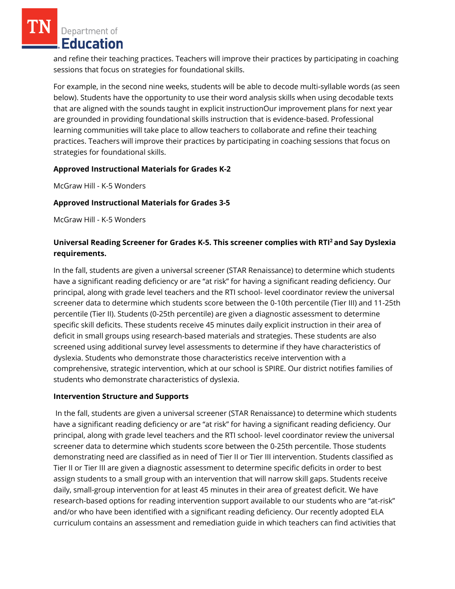Department of **Education** 

and refine their teaching practices. Teachers will improve their practices by participating in coaching sessions that focus on strategies for foundational skills.

For example, in the second nine weeks, students will be able to decode multi-syllable words (as seen below). Students have the opportunity to use their word analysis skills when using decodable texts that are aligned with the sounds taught in explicit instructionOur improvement plans for next year are grounded in providing foundational skills instruction that is evidence-based. Professional learning communities will take place to allow teachers to collaborate and refine their teaching practices. Teachers will improve their practices by participating in coaching sessions that focus on strategies for foundational skills.

## **Approved Instructional Materials for Grades K-2**

McGraw Hill - K-5 Wonders

# **Approved Instructional Materials for Grades 3-5**

McGraw Hill - K-5 Wonders

# **Universal Reading Screener for Grades K-5. This screener complies with RTI<sup>2</sup>and Say Dyslexia requirements.**

In the fall, students are given a universal screener (STAR Renaissance) to determine which students have a significant reading deficiency or are "at risk" for having a significant reading deficiency. Our principal, along with grade level teachers and the RTI school- level coordinator review the universal screener data to determine which students score between the 0-10th percentile (Tier III) and 11-25th percentile (Tier II). Students (0-25th percentile) are given a diagnostic assessment to determine specific skill deficits. These students receive 45 minutes daily explicit instruction in their area of deficit in small groups using research-based materials and strategies. These students are also screened using additional survey level assessments to determine if they have characteristics of dyslexia. Students who demonstrate those characteristics receive intervention with a comprehensive, strategic intervention, which at our school is SPIRE. Our district notifies families of students who demonstrate characteristics of dyslexia.

## **Intervention Structure and Supports**

In the fall, students are given a universal screener (STAR Renaissance) to determine which students have a significant reading deficiency or are "at risk" for having a significant reading deficiency. Our principal, along with grade level teachers and the RTI school- level coordinator review the universal screener data to determine which students score between the 0-25th percentile. Those students demonstrating need are classified as in need of Tier II or Tier III intervention. Students classified as Tier II or Tier III are given a diagnostic assessment to determine specific deficits in order to best assign students to a small group with an intervention that will narrow skill gaps. Students receive daily, small-group intervention for at least 45 minutes in their area of greatest deficit. We have research-based options for reading intervention support available to our students who are "at-risk" and/or who have been identified with a significant reading deficiency. Our recently adopted ELA curriculum contains an assessment and remediation guide in which teachers can find activities that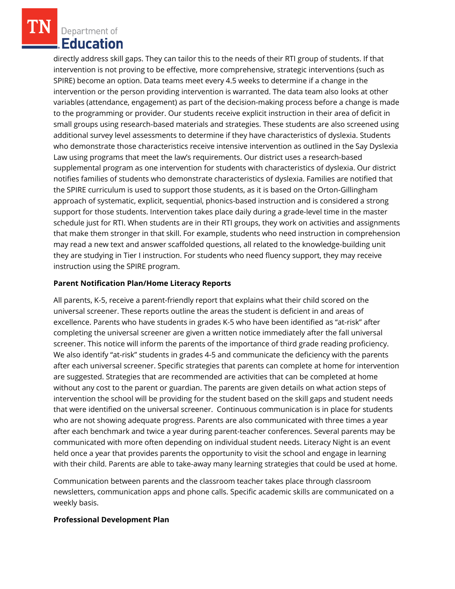Department of **Education** 

directly address skill gaps. They can tailor this to the needs of their RTI group of students. If that intervention is not proving to be effective, more comprehensive, strategic interventions (such as SPIRE) become an option. Data teams meet every 4.5 weeks to determine if a change in the intervention or the person providing intervention is warranted. The data team also looks at other variables (attendance, engagement) as part of the decision-making process before a change is made to the programming or provider. Our students receive explicit instruction in their area of deficit in small groups using research-based materials and strategies. These students are also screened using additional survey level assessments to determine if they have characteristics of dyslexia. Students who demonstrate those characteristics receive intensive intervention as outlined in the Say Dyslexia Law using programs that meet the law's requirements. Our district uses a research-based supplemental program as one intervention for students with characteristics of dyslexia. Our district notifies families of students who demonstrate characteristics of dyslexia. Families are notified that the SPIRE curriculum is used to support those students, as it is based on the Orton-Gillingham approach of systematic, explicit, sequential, phonics-based instruction and is considered a strong support for those students. Intervention takes place daily during a grade-level time in the master schedule just for RTI. When students are in their RTI groups, they work on activities and assignments that make them stronger in that skill. For example, students who need instruction in comprehension may read a new text and answer scaffolded questions, all related to the knowledge-building unit they are studying in Tier I instruction. For students who need fluency support, they may receive instruction using the SPIRE program.

#### **Parent Notification Plan/Home Literacy Reports**

All parents, K-5, receive a parent-friendly report that explains what their child scored on the universal screener. These reports outline the areas the student is deficient in and areas of excellence. Parents who have students in grades K-5 who have been identified as "at-risk" after completing the universal screener are given a written notice immediately after the fall universal screener. This notice will inform the parents of the importance of third grade reading proficiency. We also identify "at-risk" students in grades 4-5 and communicate the deficiency with the parents after each universal screener. Specific strategies that parents can complete at home for intervention are suggested. Strategies that are recommended are activities that can be completed at home without any cost to the parent or guardian. The parents are given details on what action steps of intervention the school will be providing for the student based on the skill gaps and student needs that were identified on the universal screener. Continuous communication is in place for students who are not showing adequate progress. Parents are also communicated with three times a year after each benchmark and twice a year during parent-teacher conferences. Several parents may be communicated with more often depending on individual student needs. Literacy Night is an event held once a year that provides parents the opportunity to visit the school and engage in learning with their child. Parents are able to take-away many learning strategies that could be used at home.

Communication between parents and the classroom teacher takes place through classroom newsletters, communication apps and phone calls. Specific academic skills are communicated on a weekly basis.

#### **Professional Development Plan**